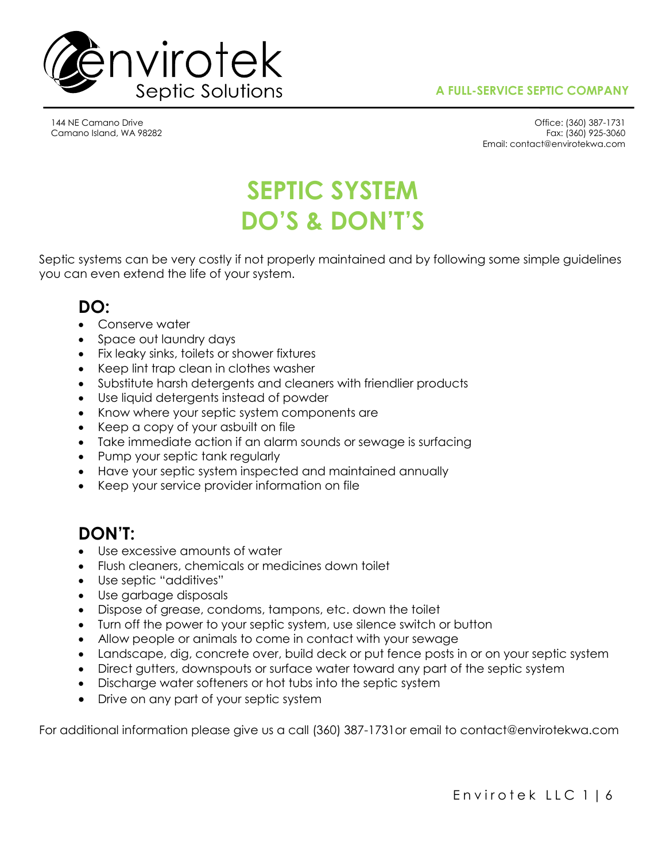

144 NE Camano Drive Camano Island, WA 98282

Office: (360) 387-1731 Fax: (360) 925-3060 Email: contact@envirotekwa.com

# **SEPTIC SYSTEM DO'S & DON'T'S**

Septic systems can be very costly if not properly maintained and by following some simple guidelines you can even extend the life of your system.

# **DO:**

- Conserve water
- Space out laundry days
- Fix leaky sinks, toilets or shower fixtures
- Keep lint trap clean in clothes washer
- Substitute harsh detergents and cleaners with friendlier products
- Use liquid detergents instead of powder
- Know where your septic system components are
- Keep a copy of your asbuilt on file
- Take immediate action if an alarm sounds or sewage is surfacing
- Pump your septic tank regularly
- Have your septic system inspected and maintained annually
- Keep your service provider information on file

# **DON'T:**

- Use excessive amounts of water
- Flush cleaners, chemicals or medicines down toilet
- Use septic "additives"
- Use garbage disposals
- Dispose of grease, condoms, tampons, etc. down the toilet
- Turn off the power to your septic system, use silence switch or button
- Allow people or animals to come in contact with your sewage
- Landscape, dig, concrete over, build deck or put fence posts in or on your septic system
- Direct gutters, downspouts or surface water toward any part of the septic system
- Discharge water softeners or hot tubs into the septic system
- Drive on any part of your septic system

For additional information please give us a call (360) 387-1731or email to contact@envirotekwa.com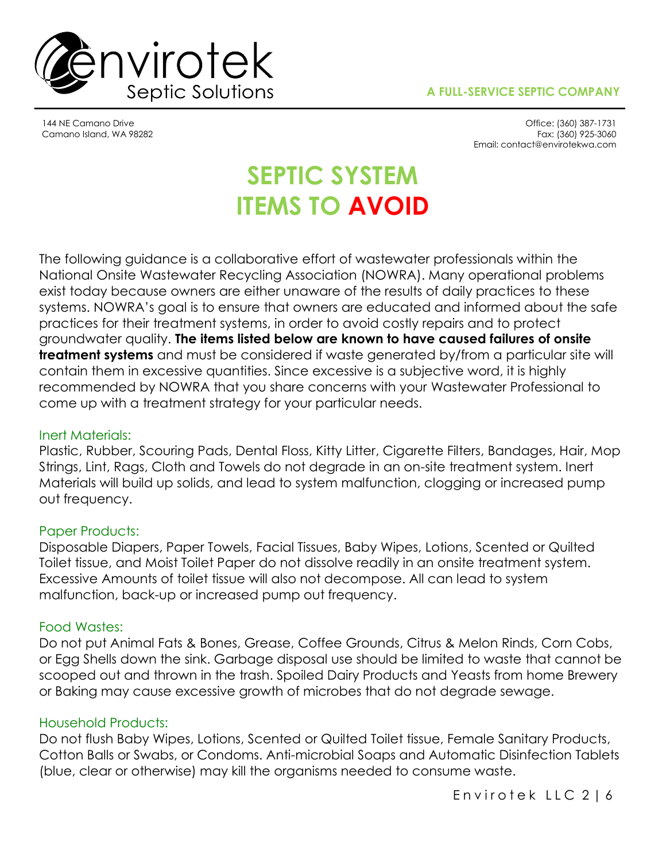



144 NE Camano Drive Camano Island, WA 98282

Office: (360) 387-1731 Fax: (360) 925-3060 Email: contact@envirotekwa.com

# **SEPTIC SYSTEM ITEMS TO AVOID**

The following guidance is a collaborative effort of wastewater professionals within the National Onsite Wastewater Recycling Association (NOWRA). Many operational problems exist today because owners are either unaware of the results of daily practices to these systems. NOWRA's goal is to ensure that owners are educated and informed about the safe practices for their treatment systems, in order to avoid costly repairs and to protect groundwater quality. **The items listed below are known to have caused failures of onsite treatment systems** and must be considered if waste generated by/from a particular site will contain them in excessive quantities. Since excessive is a subjective word, it is highly recommended by NOWRA that you share concerns with your Wastewater Professional to come up with a treatment strategy for your particular needs.

## Inert Materials:

Plastic, Rubber, Scouring Pads, Dental Floss, Kitty Litter, Cigarette Filters, Bandages, Hair, Mop Strings, Lint, Rags, Cloth and Towels do not degrade in an on-site treatment system. Inert Materials will build up solids, and lead to system malfunction, clogging or increased pump out frequency.

### Paper Products:

Disposable Diapers, Paper Towels, Facial Tissues, Baby Wipes, Lotions, Scented or Quilted Toilet tissue, and Moist Toilet Paper do not dissolve readily in an onsite treatment system. Excessive Amounts of toilet tissue will also not decompose. All can lead to system malfunction, back-up or increased pump out frequency.

### Food Wastes:

Do not put Animal Fats & Bones, Grease, Coffee Grounds, Citrus & Melon Rinds, Corn Cobs, or Egg Shells down the sink. Garbage disposal use should be limited to waste that cannot be scooped out and thrown in the trash. Spoiled Dairy Products and Yeasts from home Brewery or Baking may cause excessive growth of microbes that do not degrade sewage.

### Household Products:

Do not flush Baby Wipes, Lotions, Scented or Quilted Toilet tissue, Female Sanitary Products, Cotton Balls or Swabs, or Condoms. Anti-microbial Soaps and Automatic Disinfection Tablets (blue, clear or otherwise) may kill the organisms needed to consume waste.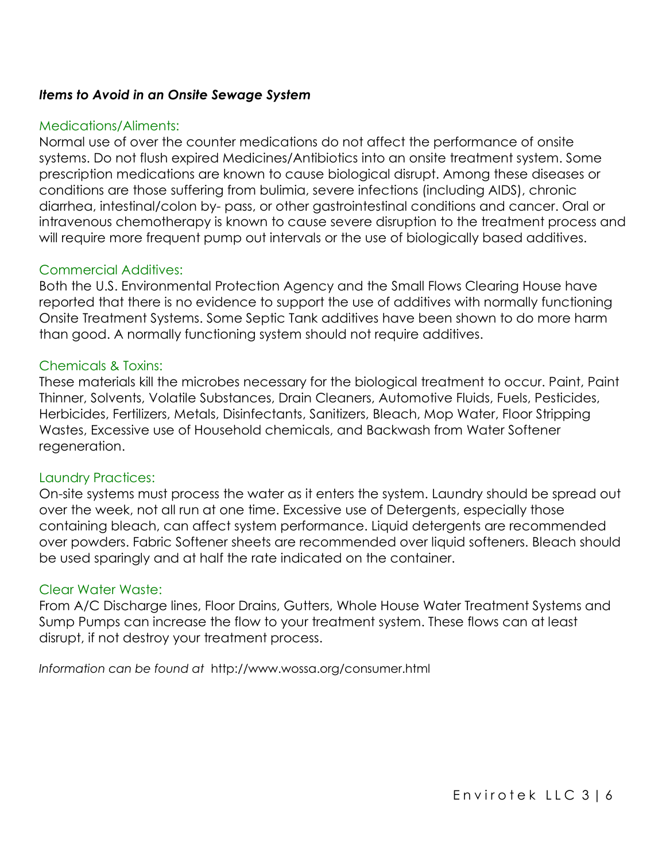### *Items to Avoid in an Onsite Sewage System*

### Medications/Aliments:

Normal use of over the counter medications do not affect the performance of onsite systems. Do not flush expired Medicines/Antibiotics into an onsite treatment system. Some prescription medications are known to cause biological disrupt. Among these diseases or conditions are those suffering from bulimia, severe infections (including AIDS), chronic diarrhea, intestinal/colon by- pass, or other gastrointestinal conditions and cancer. Oral or intravenous chemotherapy is known to cause severe disruption to the treatment process and will require more frequent pump out intervals or the use of biologically based additives.

### Commercial Additives:

Both the U.S. Environmental Protection Agency and the Small Flows Clearing House have reported that there is no evidence to support the use of additives with normally functioning Onsite Treatment Systems. Some Septic Tank additives have been shown to do more harm than good. A normally functioning system should not require additives.

### Chemicals & Toxins:

These materials kill the microbes necessary for the biological treatment to occur. Paint, Paint Thinner, Solvents, Volatile Substances, Drain Cleaners, Automotive Fluids, Fuels, Pesticides, Herbicides, Fertilizers, Metals, Disinfectants, Sanitizers, Bleach, Mop Water, Floor Stripping Wastes, Excessive use of Household chemicals, and Backwash from Water Softener regeneration.

### Laundry Practices:

On-site systems must process the water as it enters the system. Laundry should be spread out over the week, not all run at one time. Excessive use of Detergents, especially those containing bleach, can affect system performance. Liquid detergents are recommended over powders. Fabric Softener sheets are recommended over liquid softeners. Bleach should be used sparingly and at half the rate indicated on the container.

### Clear Water Waste:

From A/C Discharge lines, Floor Drains, Gutters, Whole House Water Treatment Systems and Sump Pumps can increase the flow to your treatment system. These flows can at least disrupt, if not destroy your treatment process.

*Information can be found at* http://www.wossa.org/consumer.html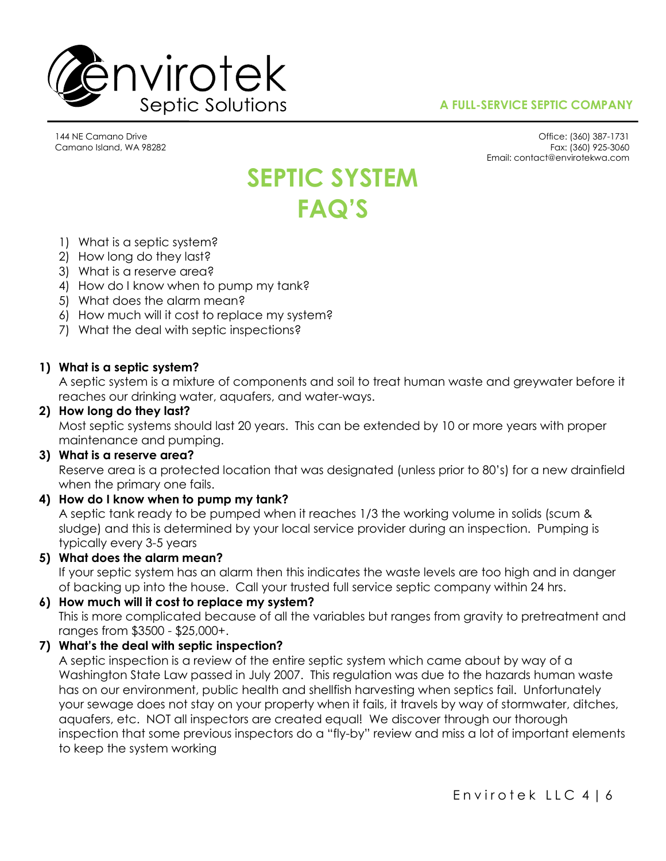

### **A FULL-SERVICE SEPTIC COMPANY**

144 NE Camano Drive Camano Island, WA 98282

Office: (360) 387-1731 Fax: (360) 925-3060 Email: contact@envirotekwa.com

# **SEPTIC SYSTEM FAQ'S**

- 1) What is a septic system?
- 2) How long do they last?
- 3) What is a reserve area?
- 4) How do I know when to pump my tank?
- 5) What does the alarm mean?
- 6) How much will it cost to replace my system?
- 7) What the deal with septic inspections?

### **1) What is a septic system?**

A septic system is a mixture of components and soil to treat human waste and greywater before it reaches our drinking water, aquafers, and water-ways.

### **2) How long do they last?**

Most septic systems should last 20 years. This can be extended by 10 or more years with proper maintenance and pumping.

### **3) What is a reserve area?**

Reserve area is a protected location that was designated (unless prior to 80's) for a new drainfield when the primary one fails.

### **4) How do I know when to pump my tank?**

A septic tank ready to be pumped when it reaches 1/3 the working volume in solids (scum & sludge) and this is determined by your local service provider during an inspection. Pumping is typically every 3-5 years

### **5) What does the alarm mean?**

If your septic system has an alarm then this indicates the waste levels are too high and in danger of backing up into the house. Call your trusted full service septic company within 24 hrs.

### **6) How much will it cost to replace my system?**

This is more complicated because of all the variables but ranges from gravity to pretreatment and ranges from \$3500 - \$25,000+.

### **7) What's the deal with septic inspection?**

A septic inspection is a review of the entire septic system which came about by way of a Washington State Law passed in July 2007. This regulation was due to the hazards human waste has on our environment, public health and shellfish harvesting when septics fail. Unfortunately your sewage does not stay on your property when it fails, it travels by way of stormwater, ditches, aquafers, etc. NOT all inspectors are created equal! We discover through our thorough inspection that some previous inspectors do a "fly-by" review and miss a lot of important elements to keep the system working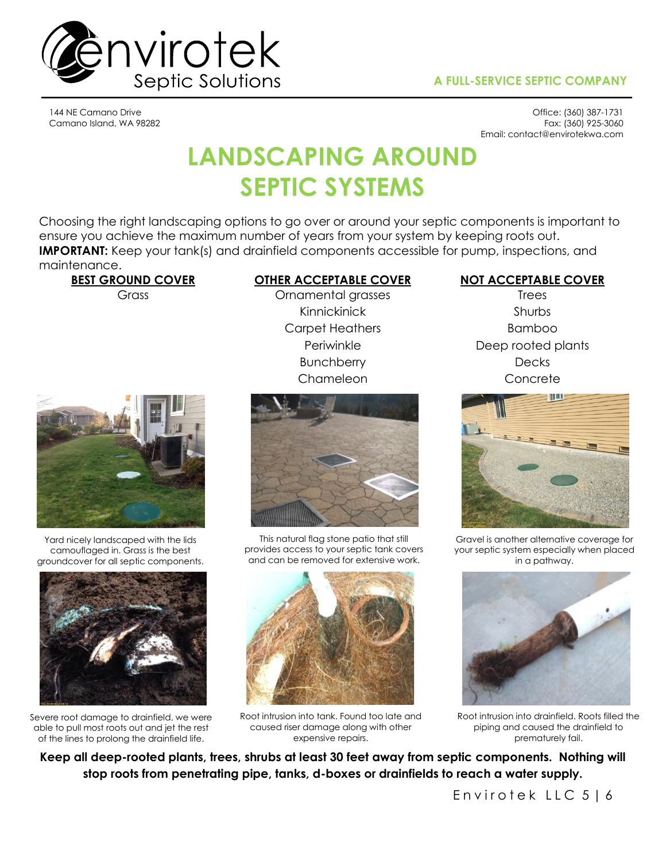### **A FULL-SERVICE SEPTIC COMPANY**



144 NE Camano Drive Camano Island, WA 98282

Office: (360) 387-1731 Fax: (360) 925-3060 Email: contact@envirotekwa.com

# **LANDSCAPING AROUND SEPTIC SYSTEMS**

Choosing the right landscaping options to go over or around your septic components is important to ensure you achieve the maximum number of years from your system by keeping roots out. **IMPORTANT:** Keep your tank(s) and drainfield components accessible for pump, inspections, and maintenance.



Yard nicely landscaped with the lids camouflaged in. Grass is the best groundcover for all septic components.



Severe root damage to drainfield, we were able to pull most roots out and jet the rest of the lines to prolong the drainfield life.

## Grass Cromamental grasses Trees

Kinnickinick Shurbs Carpet Heathers Bamboo Bunchberry Decks Chameleon Concrete



This natural flag stone patio that still provides access to your septic tank covers and can be removed for extensive work.



Root intrusion into tank. Found too late and caused riser damage along with other expensive repairs.

### **BEST GROUND COVER OTHER ACCEPTABLE COVER NOT ACCEPTABLE COVER**

Periwinkle Deep rooted plants



Gravel is another alternative coverage for your septic system especially when placed in a pathway.



Root intrusion into drainfield. Roots filled the piping and caused the drainfield to prematurely fail.

**Keep all deep-rooted plants, trees, shrubs at least 30 feet away from septic components. Nothing will stop roots from penetrating pipe, tanks, d-boxes or drainfields to reach a water supply.**

Envirotek LLC 5 | 6